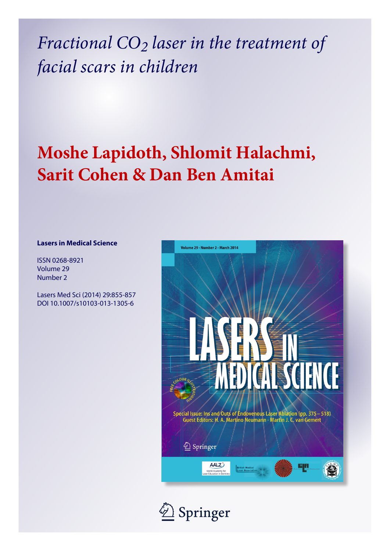*Fractional CO2 laser in the treatment of facial scars in children*

# **Moshe Lapidoth, Shlomit Halachmi, Sarit Cohen & Dan Ben Amitai**

### **Lasers in Medical Science**

ISSN 0268-8921 Volume 29 Number 2

Lasers Med Sci (2014) 29:855-857 DOI 10.1007/s10103-013-1305-6



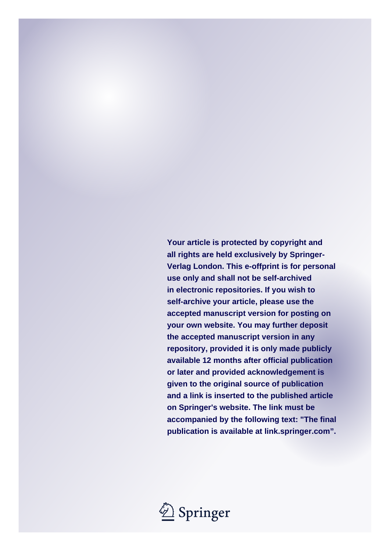**Your article is protected by copyright and all rights are held exclusively by Springer-Verlag London. This e-offprint is for personal use only and shall not be self-archived in electronic repositories. If you wish to self-archive your article, please use the accepted manuscript version for posting on your own website. You may further deposit the accepted manuscript version in any repository, provided it is only made publicly available 12 months after official publication or later and provided acknowledgement is given to the original source of publication and a link is inserted to the published article on Springer's website. The link must be accompanied by the following text: "The final publication is available at link.springer.com".**

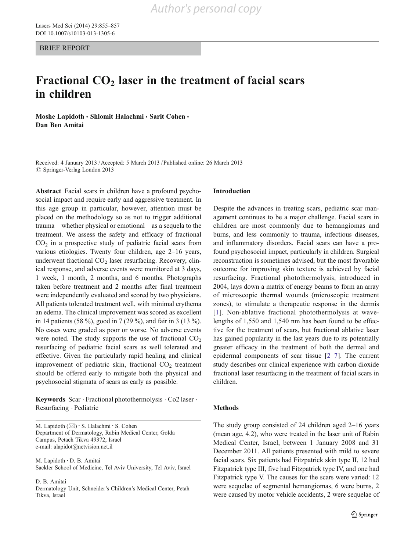BRIEF REPORT

## Fractional  $CO<sub>2</sub>$  laser in the treatment of facial scars in children

Moshe Lapidoth • Shlomit Halachmi • Sarit Cohen • Dan Ben Amitai

Received: 4 January 2013 /Accepted: 5 March 2013 / Published online: 26 March 2013  $\circ$  Springer-Verlag London 2013

Abstract Facial scars in children have a profound psychosocial impact and require early and aggressive treatment. In this age group in particular, however, attention must be placed on the methodology so as not to trigger additional trauma—whether physical or emotional—as a sequela to the treatment. We assess the safety and efficacy of fractional  $CO<sub>2</sub>$  in a prospective study of pediatric facial scars from various etiologies. Twenty four children, age 2–16 years, underwent fractional CO<sub>2</sub> laser resurfacing. Recovery, clinical response, and adverse events were monitored at 3 days, 1 week, 1 month, 2 months, and 6 months. Photographs taken before treatment and 2 months after final treatment were independently evaluated and scored by two physicians. All patients tolerated treatment well, with minimal erythema an edema. The clinical improvement was scored as excellent in 14 patients (58 %), good in 7 (29 %), and fair in 3 (13 %). No cases were graded as poor or worse. No adverse events were noted. The study supports the use of fractional  $CO<sub>2</sub>$ resurfacing of pediatric facial scars as well tolerated and effective. Given the particularly rapid healing and clinical improvement of pediatric skin, fractional  $CO<sub>2</sub>$  treatment should be offered early to mitigate both the physical and psychosocial stigmata of scars as early as possible.

Keywords Scar . Fractional photothermolysis . Co2 laser . Resurfacing . Pediatric

M. Lapidoth  $(\boxtimes) \cdot$  S. Halachmi $\cdot$  S. Cohen Department of Dermatology, Rabin Medical Center, Golda Campus, Petach Tikva 49372, Israel e-mail: alapidot@netvision.net.il

M. Lapidoth : D. B. Amitai Sackler School of Medicine, Tel Aviv University, Tel Aviv, Israel

D. B. Amitai

Dermatology Unit, Schneider's Children's Medical Center, Petah Tikva, Israel

#### Introduction

Despite the advances in treating scars, pediatric scar management continues to be a major challenge. Facial scars in children are most commonly due to hemangiomas and burns, and less commonly to trauma, infectious diseases, and inflammatory disorders. Facial scars can have a profound psychosocial impact, particularly in children. Surgical reconstruction is sometimes advised, but the most favorable outcome for improving skin texture is achieved by facial resurfacing. Fractional photothermolysis, introduced in 2004, lays down a matrix of energy beams to form an array of microscopic thermal wounds (microscopic treatment zones), to stimulate a therapeutic response in the dermis [[1\]](#page-4-0). Non-ablative fractional photothermolysis at wavelengths of 1,550 and 1,540 nm has been found to be effective for the treatment of scars, but fractional ablative laser has gained popularity in the last years due to its potentially greater efficacy in the treatment of both the dermal and epidermal components of scar tissue [[2](#page-4-0)–[7\]](#page-4-0). The current study describes our clinical experience with carbon dioxide fractional laser resurfacing in the treatment of facial scars in children.

#### Methods

The study group consisted of 24 children aged 2–16 years (mean age, 4.2), who were treated in the laser unit of Rabin Medical Center, Israel, between 1 January 2008 and 31 December 2011. All patients presented with mild to severe facial scars. Six patients had Fitzpatrick skin type II, 12 had Fitzpatrick type III, five had Fitzpatrick type IV, and one had Fitzpatrick type V. The causes for the scars were varied: 12 were sequelae of segmental hemangiomas, 6 were burns, 2 were caused by motor vehicle accidents, 2 were sequelae of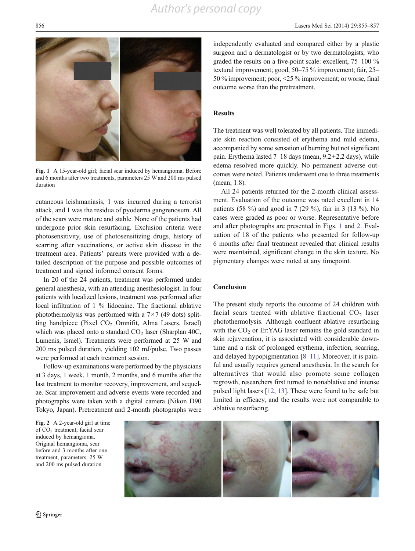## *Author's personal copy*



Fig. 1 A 15-year-old girl; facial scar induced by hemangioma. Before and 6 months after two treatments, parameters 25 W and 200 ms pulsed duration

cutaneous leishmaniasis, 1 was incurred during a terrorist attack, and 1 was the residua of pyoderma gangrenosum. All of the scars were mature and stable. None of the patients had undergone prior skin resurfacing. Exclusion criteria were photosensitivity, use of photosensitizing drugs, history of scarring after vaccinations, or active skin disease in the treatment area. Patients' parents were provided with a detailed description of the purpose and possible outcomes of treatment and signed informed consent forms.

In 20 of the 24 patients, treatment was performed under general anesthesia, with an attending anesthesiologist. In four patients with localized lesions, treatment was performed after local infiltration of 1 % lidocaine. The fractional ablative photothermolysis was performed with a  $7\times7$  (49 dots) splitting handpiece (Pixel  $CO<sub>2</sub>$  Omnifit, Alma Lasers, Israel) which was placed onto a standard  $CO<sub>2</sub>$  laser (Sharplan 40C, Lumenis, Israel). Treatments were performed at 25 W and 200 ms pulsed duration, yielding 102 mJ/pulse. Two passes were performed at each treatment session.

Follow-up examinations were performed by the physicians at 3 days, 1 week, 1 month, 2 months, and 6 months after the last treatment to monitor recovery, improvement, and sequelae. Scar improvement and adverse events were recorded and photographs were taken with a digital camera (Nikon D90 Tokyo, Japan). Pretreatment and 2-month photographs were

independently evaluated and compared either by a plastic surgeon and a dermatologist or by two dermatologists, who graded the results on a five-point scale: excellent, 75–100 % textural improvement; good, 50–75 % improvement; fair, 25– 50 % improvement; poor, <25 % improvement; or worse, final outcome worse than the pretreatment.

#### Results

The treatment was well tolerated by all patients. The immediate skin reaction consisted of erythema and mild edema, accompanied by some sensation of burning but not significant pain. Erythema lasted  $7-18$  days (mean,  $9.2 \pm 2.2$  days), while edema resolved more quickly. No permanent adverse outcomes were noted. Patients underwent one to three treatments (mean, 1.8).

All 24 patients returned for the 2-month clinical assessment. Evaluation of the outcome was rated excellent in 14 patients (58 %) and good in 7 (29 %), fair in 3 (13 %). No cases were graded as poor or worse. Representative before and after photographs are presented in Figs. 1 and 2. Evaluation of 18 of the patients who presented for follow-up 6 months after final treatment revealed that clinical results were maintained, significant change in the skin texture. No pigmentary changes were noted at any timepoint.

#### Conclusion

The present study reports the outcome of 24 children with facial scars treated with ablative fractional  $CO<sub>2</sub>$  laser photothermolysis. Although confluent ablative resurfacing with the  $CO<sub>2</sub>$  or Er:YAG laser remains the gold standard in skin rejuvenation, it is associated with considerable downtime and a risk of prolonged erythema, infection, scarring, and delayed hypopigmentation [[8](#page-4-0)–[11](#page-4-0)]. Moreover, it is painful and usually requires general anesthesia. In the search for alternatives that would also promote some collagen regrowth, researchers first turned to nonablative and intense pulsed light lasers [[12,](#page-4-0) [13\]](#page-4-0). These were found to be safe but limited in efficacy, and the results were not comparable to ablative resurfacing.

Fig. 2 A 2-year-old girl at time of CO<sub>2</sub> treatment; facial scar induced by hemangioma. Original hemangioma, scar before and 3 months after one treatment, parameters: 25 W and 200 ms pulsed duration